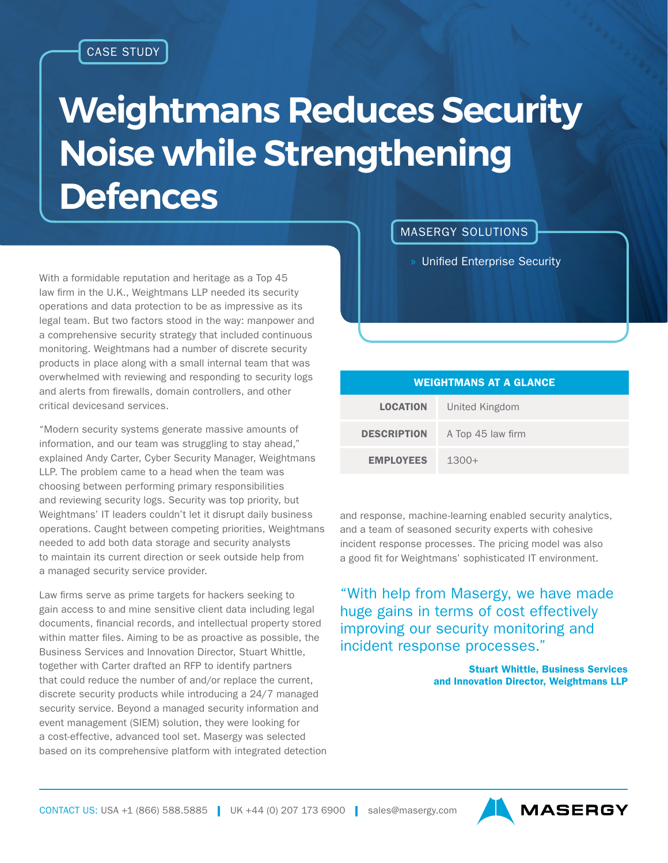## **Weightmans Reduces Security Noise while Strengthening Defences**

With a formidable reputation and heritage as a Top 45 law firm in the U.K., Weightmans LLP needed its security operations and data protection to be as impressive as its legal team. But two factors stood in the way: manpower and a comprehensive security strategy that included continuous monitoring. Weightmans had a number of discrete security products in place along with a small internal team that was overwhelmed with reviewing and responding to security logs and alerts from firewalls, domain controllers, and other critical devicesand services.

"Modern security systems generate massive amounts of information, and our team was struggling to stay ahead," explained Andy Carter, Cyber Security Manager, Weightmans LLP. The problem came to a head when the team was choosing between performing primary responsibilities and reviewing security logs. Security was top priority, but Weightmans' IT leaders couldn't let it disrupt daily business operations. Caught between competing priorities, Weightmans needed to add both data storage and security analysts to maintain its current direction or seek outside help from a managed security service provider.

Law firms serve as prime targets for hackers seeking to gain access to and mine sensitive client data including legal documents, financial records, and intellectual property stored within matter files. Aiming to be as proactive as possible, the Business Services and Innovation Director, Stuart Whittle, together with Carter drafted an RFP to identify partners that could reduce the number of and/or replace the current, discrete security products while introducing a 24/7 managed security service. Beyond a managed security information and event management (SIEM) solution, they were looking for a cost-effective, advanced tool set. Masergy was selected based on its comprehensive platform with integrated detection MASERGY SOLUTIONS

» Unified Enterprise Security

| <b>WEIGHTMANS AT A GLANCE</b> |                   |
|-------------------------------|-------------------|
| <b>LOCATION</b>               | United Kingdom    |
| <b>DESCRIPTION</b>            | A Top 45 law firm |
| <b>EMPLOYEES</b>              | $1300+$           |

and response, machine-learning enabled security analytics, and a team of seasoned security experts with cohesive incident response processes. The pricing model was also a good fit for Weightmans' sophisticated IT environment.

"With help from Masergy, we have made huge gains in terms of cost effectively improving our security monitoring and incident response processes."

> Stuart Whittle, Business Services and Innovation Director, Weightmans LLP